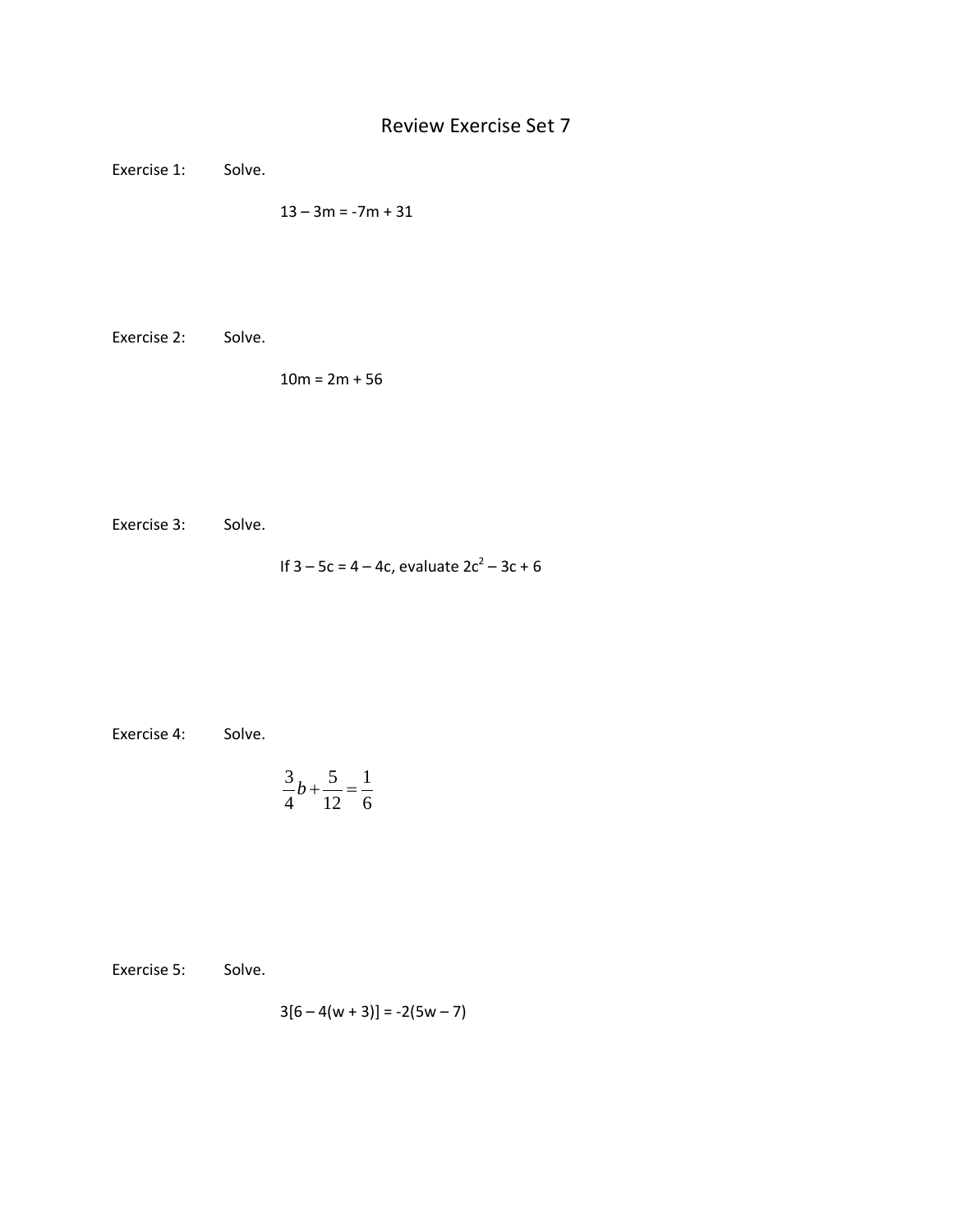## Review Exercise Set 7

Exercise 1: Solve.

 $13 - 3m = -7m + 31$ 

Exercise 2: Solve.

 $10m = 2m + 56$ 

Exercise 3: Solve.

If  $3 - 5c = 4 - 4c$ , evaluate  $2c^2 - 3c + 6$ 

Exercise 4: Solve.

$$
\frac{3}{4}b + \frac{5}{12} = \frac{1}{6}
$$

Exercise 5: Solve.

$$
3[6-4(w+3)] = -2(5w-7)
$$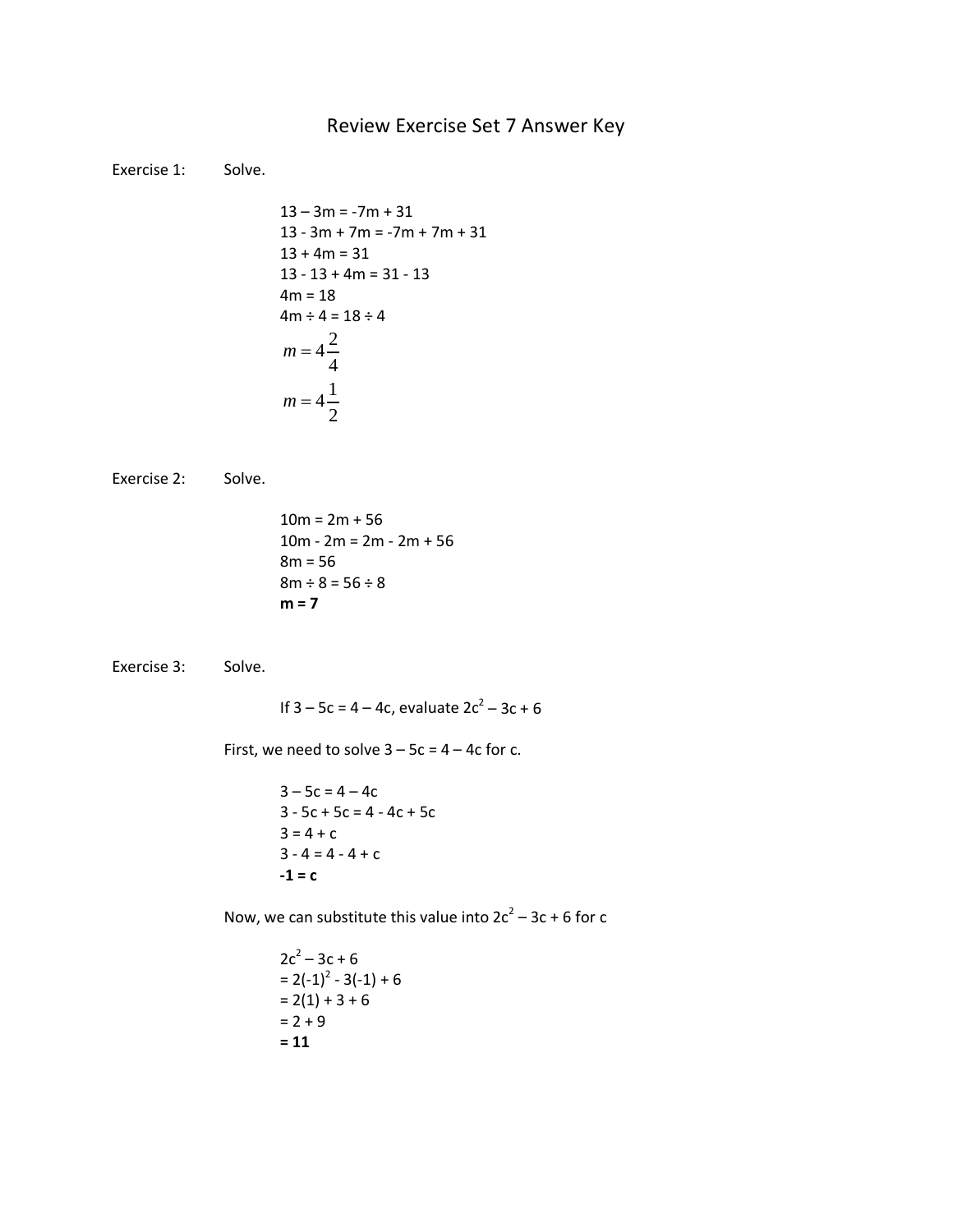## Review Exercise Set 7 Answer Key

Exercise 1: Solve.

$$
13 - 3m = -7m + 31
$$
  
\n
$$
13 - 3m + 7m = -7m + 7m + 31
$$
  
\n
$$
13 + 4m = 31
$$
  
\n
$$
13 - 13 + 4m = 31 - 13
$$
  
\n
$$
4m = 18
$$
  
\n
$$
4m \div 4 = 18 \div 4
$$
  
\n
$$
m = 4\frac{2}{4}
$$
  
\n
$$
m = 4\frac{1}{2}
$$

Exercise 2: Solve.

 $10m = 2m + 56$  $10m - 2m = 2m - 2m + 56$ 8m = 56  $8m \div 8 = 56 \div 8$ **m = 7**

Exercise 3: Solve.

If  $3 - 5c = 4 - 4c$ , evaluate  $2c^2 - 3c + 6$ 

First, we need to solve  $3 - 5c = 4 - 4c$  for c.

 $3 - 5c = 4 - 4c$  $3 - 5c + 5c = 4 - 4c + 5c$  $3 = 4 + c$  $3 - 4 = 4 - 4 + c$  $-1 = c$ 

Now, we can substitute this value into  $2c^2 - 3c + 6$  for c

 $2c^2 - 3c + 6$  $= 2(-1)^{2} - 3(-1) + 6$  $= 2(1) + 3 + 6$  $= 2 + 9$ **= 11**